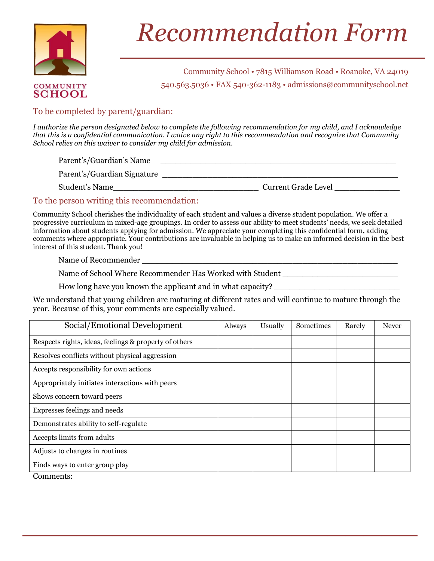

**COMMUNITY SCHOOL** 

## **RECONTRENDUCIÓN FOI INTERNATIONAL EN 1887.** *Recommendation Form*

**\_\_\_\_\_** 540.563.5036 • FAX 540-362-1183 • admissions@communityschool.net Community School • 7815 Williamson Road • Roanoke, VA 24019

## To be completed by parent/guardian:

*I authorize the person designated below to complete the following recommendation for my child, and I acknowledge that this is a confidential communication. I waive any right to this recommendation and recognize that Community School relies on this waiver to consider my child for admission.*

Parent's/Guardian's Name

Parent's/Guardian Signature \_\_\_\_\_\_\_\_\_\_\_\_\_\_\_\_\_\_\_\_\_\_\_\_\_\_\_\_\_\_\_\_\_\_\_\_\_\_\_\_\_\_\_\_\_\_\_

Student's Name\_\_\_\_\_\_\_\_\_\_\_\_\_\_\_\_\_\_\_\_\_\_\_\_\_\_\_\_\_ Current Grade Level \_\_\_\_\_\_\_\_\_\_\_\_\_

## To the person writing this recommendation:

Community School cherishes the individuality of each student and values a diverse student population. We offer a progressive curriculum in mixed-age groupings. In order to assess our ability to meet students' needs, we seek detailed information about students applying for admission. We appreciate your completing this confidential form, adding comments where appropriate. Your contributions are invaluable in helping us to make an informed decision in the best interest of this student. Thank you!

Name of Recommender

Name of School Where Recommender Has Worked with Student **League Constanting Constant** 

How long have you known the applicant and in what capacity?

We understand that young children are maturing at different rates and will continue to mature through the year. Because of this, your comments are especially valued.

| Social/Emotional Development                          | Always | Usually | Sometimes | Rarely | <b>Never</b> |
|-------------------------------------------------------|--------|---------|-----------|--------|--------------|
| Respects rights, ideas, feelings & property of others |        |         |           |        |              |
| Resolves conflicts without physical aggression        |        |         |           |        |              |
| Accepts responsibility for own actions                |        |         |           |        |              |
| Appropriately initiates interactions with peers       |        |         |           |        |              |
| Shows concern toward peers                            |        |         |           |        |              |
| Expresses feelings and needs                          |        |         |           |        |              |
| Demonstrates ability to self-regulate                 |        |         |           |        |              |
| Accepts limits from adults                            |        |         |           |        |              |
| Adjusts to changes in routines                        |        |         |           |        |              |
| Finds ways to enter group play                        |        |         |           |        |              |

**\_\_\_\_\_\_\_\_\_\_\_\_\_\_\_\_\_\_\_\_\_\_**

Comments: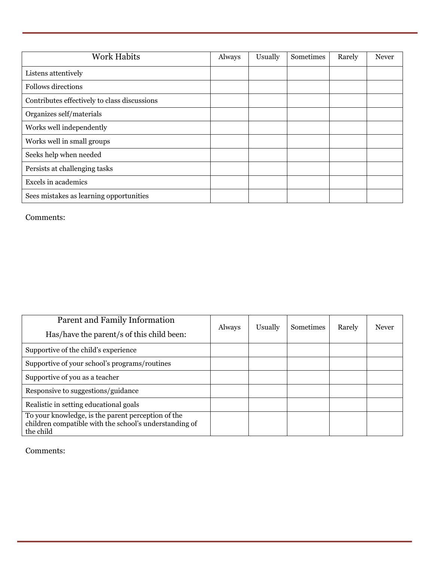| <b>Work Habits</b>                           | Always | Usually | Sometimes | Rarely | <b>Never</b> |
|----------------------------------------------|--------|---------|-----------|--------|--------------|
| Listens attentively                          |        |         |           |        |              |
| <b>Follows directions</b>                    |        |         |           |        |              |
| Contributes effectively to class discussions |        |         |           |        |              |
| Organizes self/materials                     |        |         |           |        |              |
| Works well independently                     |        |         |           |        |              |
| Works well in small groups                   |        |         |           |        |              |
| Seeks help when needed                       |        |         |           |        |              |
| Persists at challenging tasks                |        |         |           |        |              |
| Excels in academics                          |        |         |           |        |              |
| Sees mistakes as learning opportunities      |        |         |           |        |              |

**\_\_\_\_\_\_\_\_\_\_\_\_\_\_\_\_\_\_\_\_\_\_**

Comments:

| Parent and Family Information<br>Has/have the parent/s of this child been:                                                | Always | Usually | <b>Sometimes</b> | Rarely | Never |
|---------------------------------------------------------------------------------------------------------------------------|--------|---------|------------------|--------|-------|
| Supportive of the child's experience                                                                                      |        |         |                  |        |       |
| Supportive of your school's programs/routines                                                                             |        |         |                  |        |       |
| Supportive of you as a teacher                                                                                            |        |         |                  |        |       |
| Responsive to suggestions/guidance                                                                                        |        |         |                  |        |       |
| Realistic in setting educational goals                                                                                    |        |         |                  |        |       |
| To your knowledge, is the parent perception of the<br>children compatible with the school's understanding of<br>the child |        |         |                  |        |       |

**\_\_\_\_\_\_\_\_\_\_\_\_\_\_\_\_\_\_\_\_\_\_**

Comments: